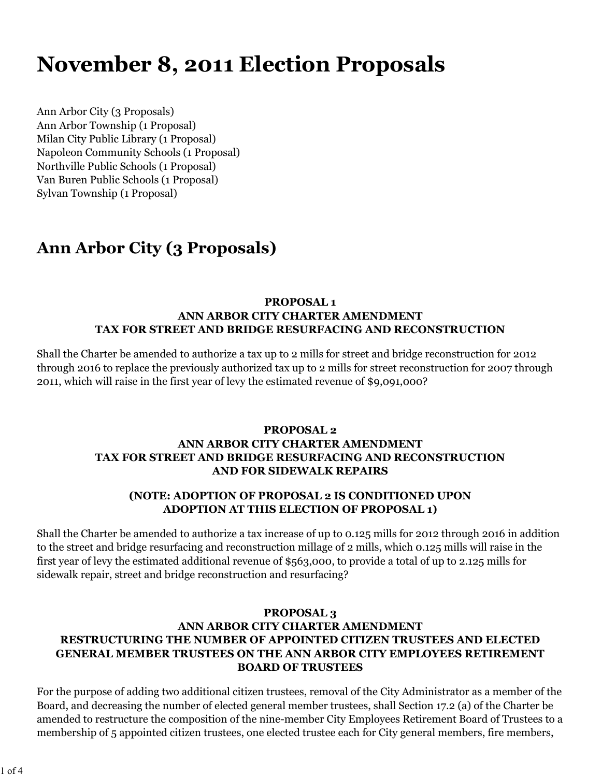# **November 8, 2011 Election Proposals**

Ann Arbor City (3 Proposals) Ann Arbor Township (1 Proposal) Milan City Public Library (1 Proposal) Napoleon Community Schools (1 Proposal) Northville Public Schools (1 Proposal) Van Buren Public Schools (1 Proposal) Sylvan Township (1 Proposal)

# **Ann Arbor City (3 Proposals)**

#### **PROPOSAL 1 ANN ARBOR CITY CHARTER AMENDMENT TAX FOR STREET AND BRIDGE RESURFACING AND RECONSTRUCTION**

Shall the Charter be amended to authorize a tax up to 2 mills for street and bridge reconstruction for 2012 through 2016 to replace the previously authorized tax up to 2 mills for street reconstruction for 2007 through 2011, which will raise in the first year of levy the estimated revenue of \$9,091,000?

### **PROPOSAL 2 ANN ARBOR CITY CHARTER AMENDMENT TAX FOR STREET AND BRIDGE RESURFACING AND RECONSTRUCTION AND FOR SIDEWALK REPAIRS**

### **(NOTE: ADOPTION OF PROPOSAL 2 IS CONDITIONED UPON ADOPTION AT THIS ELECTION OF PROPOSAL 1)**

Shall the Charter be amended to authorize a tax increase of up to 0.125 mills for 2012 through 2016 in addition to the street and bridge resurfacing and reconstruction millage of 2 mills, which 0.125 mills will raise in the first year of levy the estimated additional revenue of \$563,000, to provide a total of up to 2.125 mills for sidewalk repair, street and bridge reconstruction and resurfacing?

### **PROPOSAL 3 ANN ARBOR CITY CHARTER AMENDMENT RESTRUCTURING THE NUMBER OF APPOINTED CITIZEN TRUSTEES AND ELECTED GENERAL MEMBER TRUSTEES ON THE ANN ARBOR CITY EMPLOYEES RETIREMENT BOARD OF TRUSTEES**

For the purpose of adding two additional citizen trustees, removal of the City Administrator as a member of the Board, and decreasing the number of elected general member trustees, shall Section 17.2 (a) of the Charter be amended to restructure the composition of the nine-member City Employees Retirement Board of Trustees to a membership of 5 appointed citizen trustees, one elected trustee each for City general members, fire members,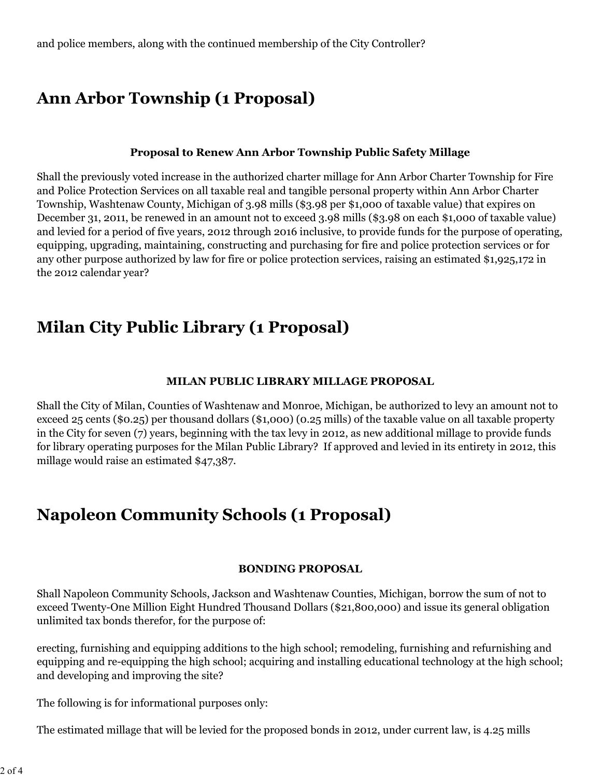# **Ann Arbor Township (1 Proposal)**

#### **Proposal to Renew Ann Arbor Township Public Safety Millage**

Shall the previously voted increase in the authorized charter millage for Ann Arbor Charter Township for Fire and Police Protection Services on all taxable real and tangible personal property within Ann Arbor Charter Township, Washtenaw County, Michigan of 3.98 mills (\$3.98 per \$1,000 of taxable value) that expires on December 31, 2011, be renewed in an amount not to exceed 3.98 mills (\$3.98 on each \$1,000 of taxable value) and levied for a period of five years, 2012 through 2016 inclusive, to provide funds for the purpose of operating, equipping, upgrading, maintaining, constructing and purchasing for fire and police protection services or for any other purpose authorized by law for fire or police protection services, raising an estimated \$1,925,172 in the 2012 calendar year?

# **Milan City Public Library (1 Proposal)**

#### **MILAN PUBLIC LIBRARY MILLAGE PROPOSAL**

Shall the City of Milan, Counties of Washtenaw and Monroe, Michigan, be authorized to levy an amount not to exceed 25 cents (\$0.25) per thousand dollars (\$1,000) (0.25 mills) of the taxable value on all taxable property in the City for seven (7) years, beginning with the tax levy in 2012, as new additional millage to provide funds for library operating purposes for the Milan Public Library? If approved and levied in its entirety in 2012, this millage would raise an estimated \$47,387.

### **Napoleon Community Schools (1 Proposal)**

#### **BONDING PROPOSAL**

Shall Napoleon Community Schools, Jackson and Washtenaw Counties, Michigan, borrow the sum of not to exceed Twenty-One Million Eight Hundred Thousand Dollars (\$21,800,000) and issue its general obligation unlimited tax bonds therefor, for the purpose of:

erecting, furnishing and equipping additions to the high school; remodeling, furnishing and refurnishing and equipping and re-equipping the high school; acquiring and installing educational technology at the high school; and developing and improving the site?

The following is for informational purposes only:

The estimated millage that will be levied for the proposed bonds in 2012, under current law, is 4.25 mills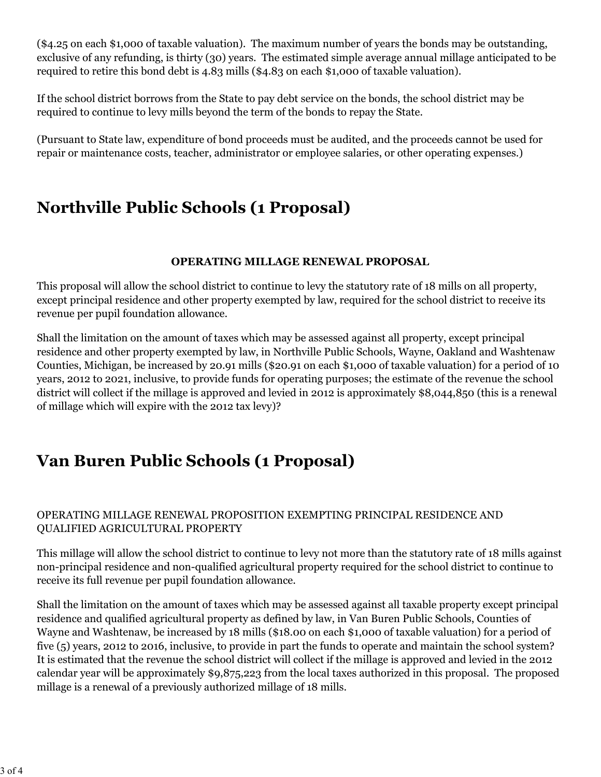(\$4.25 on each \$1,000 of taxable valuation). The maximum number of years the bonds may be outstanding, exclusive of any refunding, is thirty (30) years. The estimated simple average annual millage anticipated to be required to retire this bond debt is 4.83 mills (\$4.83 on each \$1,000 of taxable valuation).

If the school district borrows from the State to pay debt service on the bonds, the school district may be required to continue to levy mills beyond the term of the bonds to repay the State.

(Pursuant to State law, expenditure of bond proceeds must be audited, and the proceeds cannot be used for repair or maintenance costs, teacher, administrator or employee salaries, or other operating expenses.)

# **Northville Public Schools (1 Proposal)**

### **OPERATING MILLAGE RENEWAL PROPOSAL**

This proposal will allow the school district to continue to levy the statutory rate of 18 mills on all property, except principal residence and other property exempted by law, required for the school district to receive its revenue per pupil foundation allowance.

Shall the limitation on the amount of taxes which may be assessed against all property, except principal residence and other property exempted by law, in Northville Public Schools, Wayne, Oakland and Washtenaw Counties, Michigan, be increased by 20.91 mills (\$20.91 on each \$1,000 of taxable valuation) for a period of 10 years, 2012 to 2021, inclusive, to provide funds for operating purposes; the estimate of the revenue the school district will collect if the millage is approved and levied in 2012 is approximately \$8,044,850 (this is a renewal of millage which will expire with the 2012 tax levy)?

# **Van Buren Public Schools (1 Proposal)**

### OPERATING MILLAGE RENEWAL PROPOSITION EXEMPTING PRINCIPAL RESIDENCE AND QUALIFIED AGRICULTURAL PROPERTY

This millage will allow the school district to continue to levy not more than the statutory rate of 18 mills against non-principal residence and non-qualified agricultural property required for the school district to continue to receive its full revenue per pupil foundation allowance.

Shall the limitation on the amount of taxes which may be assessed against all taxable property except principal residence and qualified agricultural property as defined by law, in Van Buren Public Schools, Counties of Wayne and Washtenaw, be increased by 18 mills (\$18.00 on each \$1,000 of taxable valuation) for a period of five (5) years, 2012 to 2016, inclusive, to provide in part the funds to operate and maintain the school system? It is estimated that the revenue the school district will collect if the millage is approved and levied in the 2012 calendar year will be approximately \$9,875,223 from the local taxes authorized in this proposal. The proposed millage is a renewal of a previously authorized millage of 18 mills.